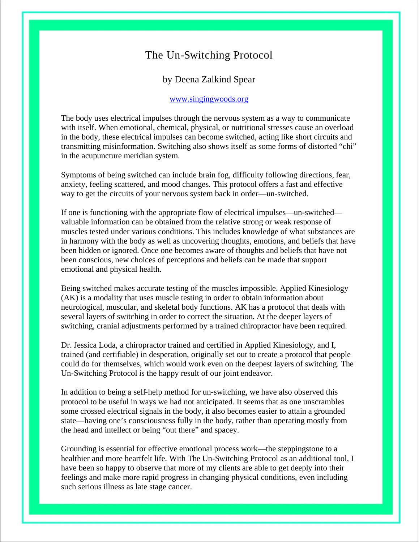## The Un-Switching Protocol

1

### by Deena Zalkind Spear

#### www.singingwoods.org

The body uses electrical impulses through the nervous system as a way to communicate with itself. When emotional, chemical, physical, or nutritional stresses cause an overload in the body, these electrical impulses can become switched, acting like short circuits and transmitting misinformation. Switching also shows itself as some forms of distorted "chi" in the acupuncture meridian system.

Symptoms of being switched can include brain fog, difficulty following directions, fear, anxiety, feeling scattered, and mood changes. This protocol offers a fast and effective way to get the circuits of your nervous system back in order—un-switched.

If one is functioning with the appropriate flow of electrical impulses—un-switched valuable information can be obtained from the relative strong or weak response of muscles tested under various conditions. This includes knowledge of what substances are in harmony with the body as well as uncovering thoughts, emotions, and beliefs that have been hidden or ignored. Once one becomes aware of thoughts and beliefs that have not been conscious, new choices of perceptions and beliefs can be made that support emotional and physical health.

Being switched makes accurate testing of the muscles impossible. Applied Kinesiology (AK) is a modality that uses muscle testing in order to obtain information about neurological, muscular, and skeletal body functions. AK has a protocol that deals with several layers of switching in order to correct the situation. At the deeper layers of switching, cranial adjustments performed by a trained chiropractor have been required.

Dr. Jessica Loda, a chiropractor trained and certified in Applied Kinesiology, and I, trained (and certifiable) in desperation, originally set out to create a protocol that people could do for themselves, which would work even on the deepest layers of switching. The Un-Switching Protocol is the happy result of our joint endeavor.

In addition to being a self-help method for un-switching, we have also observed this protocol to be useful in ways we had not anticipated. It seems that as one unscrambles some crossed electrical signals in the body, it also becomes easier to attain a grounded state—having one's consciousness fully in the body, rather than operating mostly from the head and intellect or being "out there" and spacey.

Grounding is essential for effective emotional process work—the steppingstone to a healthier and more heartfelt life. With The Un-Switching Protocol as an additional tool, I have been so happy to observe that more of my clients are able to get deeply into their feelings and make more rapid progress in changing physical conditions, even including such serious illness as late stage cancer.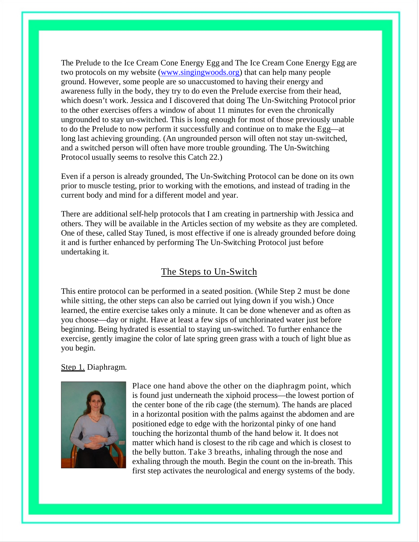The Prelude to the Ice Cream Cone Energy Egg and The Ice Cream Cone Energy Egg are two protocols on my website (www.singingwoods.org) that can help many people ground. However, some people are so unaccustomed to having their energy and awareness fully in the body, they try to do even the Prelude exercise from their head, which doesn't work. Jessica and I discovered that doing The Un-Switching Protocol prior to the other exercises offers a window of about 11 minutes for even the chronically ungrounded to stay un-switched. This is long enough for most of those previously unable to do the Prelude to now perform it successfully and continue on to make the Egg—at long last achieving grounding. (An ungrounded person will often not stay un-switched, and a switched person will often have more trouble grounding. The Un-Switching Protocol usually seems to resolve this Catch 22.)

2

Even if a person is already grounded, The Un-Switching Protocol can be done on its own prior to muscle testing, prior to working with the emotions, and instead of trading in the current body and mind for a different model and year.

There are additional self-help protocols that I am creating in partnership with Jessica and others. They will be available in the Articles section of my website as they are completed. One of these, called Stay Tuned, is most effective if one is already grounded before doing it and is further enhanced by performing The Un-Switching Protocol just before undertaking it.

## The Steps to Un-Switch

This entire protocol can be performed in a seated position. (While Step 2 must be done while sitting, the other steps can also be carried out lying down if you wish.) Once learned, the entire exercise takes only a minute. It can be done whenever and as often as you choose—day or night. Have at least a few sips of unchlorinated water just before beginning. Being hydrated is essential to staying un-switched. To further enhance the exercise, gently imagine the color of late spring green grass with a touch of light blue as you begin.

#### Step 1. Diaphragm.



Place one hand above the other on the diaphragm point, which is found just underneath the xiphoid process—the lowest portion of the center bone of the rib cage (the sternum). The hands are placed in a horizontal position with the palms against the abdomen and are positioned edge to edge with the horizontal pinky of one hand touching the horizontal thumb of the hand below it. It does not matter which hand is closest to the rib cage and which is closest to the belly button. Take 3 breaths, inhaling through the nose and exhaling through the mouth. Begin the count on the in-breath. This first step activates the neurological and energy systems of the body.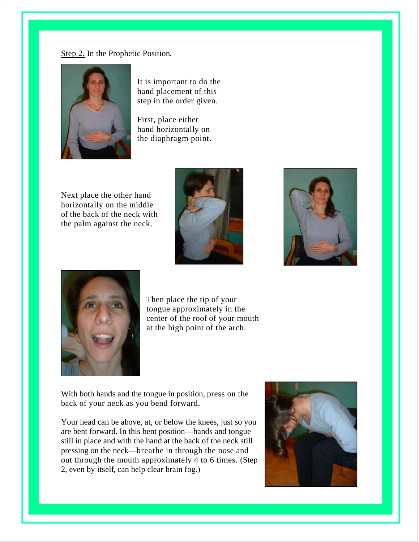Step 2. In the Prophetic Position.



It is important to do the hand placement of this step in the order given.

First, place either hand horizontally on the diaphragm point.

Next place the other hand horizontally on the middle of the back of the neck with the palm against the neck.





3



Then place the tip of your tongue approximately in the center of the roof of your mouth at the high point of the arch.

With both hands and the tongue in position, press on the back of your neck as you bend forward.

Your head can be above, at, or below the knees, just so you are bent forward. In this bent position—hands and tongue still in place and with the hand at the back of the neck still pressing on the neck—breathe in through the nose and out through the mouth approximately 4 to 6 times. (Step 2, even by itself, can help clear brain fog.)

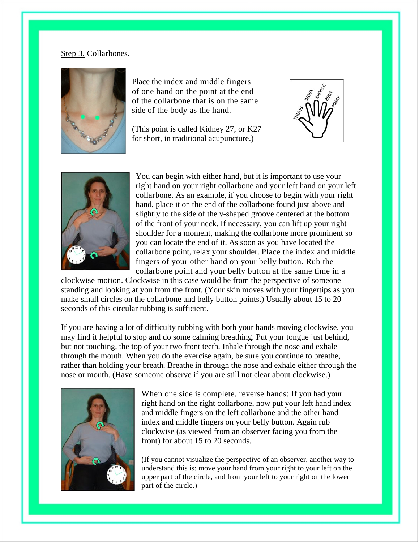#### Step 3. Collarbones.



Place the index and middle fingers of one hand on the point at the end of the collarbone that is on the same side of the body as the hand.

(This point is called Kidney 27, or K27 for short, in traditional acupuncture.)



4



You can begin with either hand, but it is important to use your right hand on your right collarbone and your left hand on your left collarbone. As an example, if you choose to begin with your right hand, place it on the end of the collarbone found just above and slightly to the side of the v-shaped groove centered at the bottom of the front of your neck. If necessary, you can lift up your right shoulder for a moment, making the collarbone more prominent so you can locate the end of it. As soon as you have located the collarbone point, relax your shoulder. Place the index and middle fingers of your other hand on your belly button. Rub the collarbone point and your belly button at the same time in a

clockwise motion. Clockwise in this case would be from the perspective of someone standing and looking at you from the front. (Your skin moves with your fingertips as you make small circles on the collarbone and belly button points.) Usually about 15 to 20 seconds of this circular rubbing is sufficient.

If you are having a lot of difficulty rubbing with both your hands moving clockwise, you may find it helpful to stop and do some calming breathing. Put your tongue just behind, but not touching, the top of your two front teeth. Inhale through the nose and exhale through the mouth. When you do the exercise again, be sure you continue to breathe, rather than holding your breath. Breathe in through the nose and exhale either through the nose or mouth. (Have someone observe if you are still not clear about clockwise.)



When one side is complete, reverse hands: If you had your right hand on the right collarbone, now put your left hand index and middle fingers on the left collarbone and the other hand index and middle fingers on your belly button. Again rub clockwise (as viewed from an observer facing you from the front) for about 15 to 20 seconds.

(If you cannot visualize the perspective of an observer, another way to understand this is: move your hand from your right to your left on the upper part of the circle, and from your left to your right on the lower part of the circle.)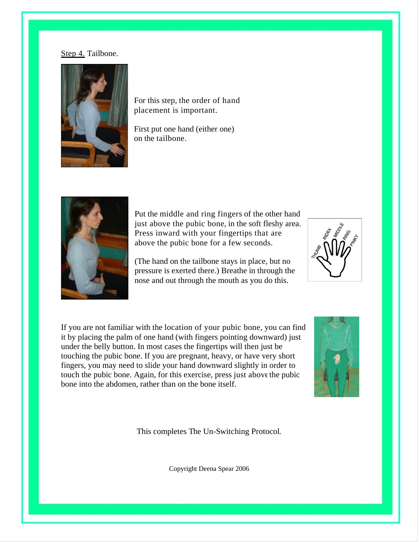#### Step 4. Tailbone.



For this step, the order of hand placement is important.

First put one hand (either one) on the tailbone.



Put the middle and ring fingers of the other hand just above the pubic bone, in the soft fleshy area. Press inward with your fingertips that are above the pubic bone for a few seconds.

(The hand on the tailbone stays in place, but no pressure is exerted there.) Breathe in through the nose and out through the mouth as you do this.



5

If you are not familiar with the location of your pubic bone, you can find it by placing the palm of one hand (with fingers pointing downward) just under the belly button. In most cases the fingertips will then just be touching the pubic bone. If you are pregnant, heavy, or have very short fingers, you may need to slide your hand downward slightly in order to touch the pubic bone. Again, for this exercise, press just above the pubic bone into the abdomen, rather than on the bone itself.



This completes The Un-Switching Protocol.

Copyright Deena Spear 2006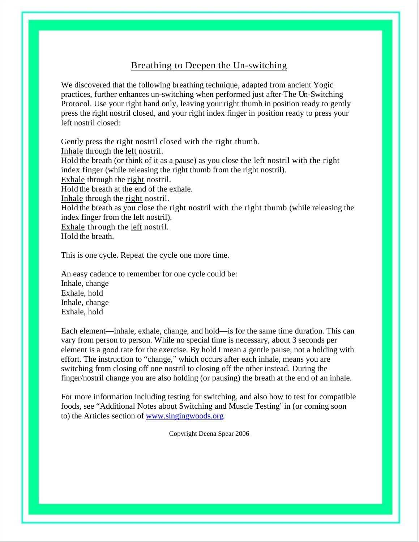## Breathing to Deepen the Un-switching

6

We discovered that the following breathing technique, adapted from ancient Yogic practices, further enhances un-switching when performed just after The Un-Switching Protocol. Use your right hand only, leaving your right thumb in position ready to gently press the right nostril closed, and your right index finger in position ready to press your left nostril closed:

Gently press the right nostril closed with the right thumb. Inhale through the left nostril. Hold the breath (or think of it as a pause) as you close the left nostril with the right index finger (while releasing the right thumb from the right nostril). Exhale through the right nostril. Hold the breath at the end of the exhale. Inhale through the right nostril. Hold the breath as you close the right nostril with the right thumb (while releasing the index finger from the left nostril). Exhale through the left nostril. Hold the breath.

This is one cycle. Repeat the cycle one more time.

An easy cadence to remember for one cycle could be: Inhale, change Exhale, hold Inhale, change Exhale, hold

Each element—inhale, exhale, change, and hold—is for the same time duration. This can vary from person to person. While no special time is necessary, about 3 seconds per element is a good rate for the exercise. By hold I mean a gentle pause, not a holding with effort. The instruction to "change," which occurs after each inhale, means you are switching from closing off one nostril to closing off the other instead. During the finger/nostril change you are also holding (or pausing) the breath at the end of an inhale.

For more information including testing for switching, and also how to test for compatible foods, see "Additional Notes about Switching and Muscle Testing" in (or coming soon to) the Articles section of www.singingwoods.org.

Copyright Deena Spear 2006